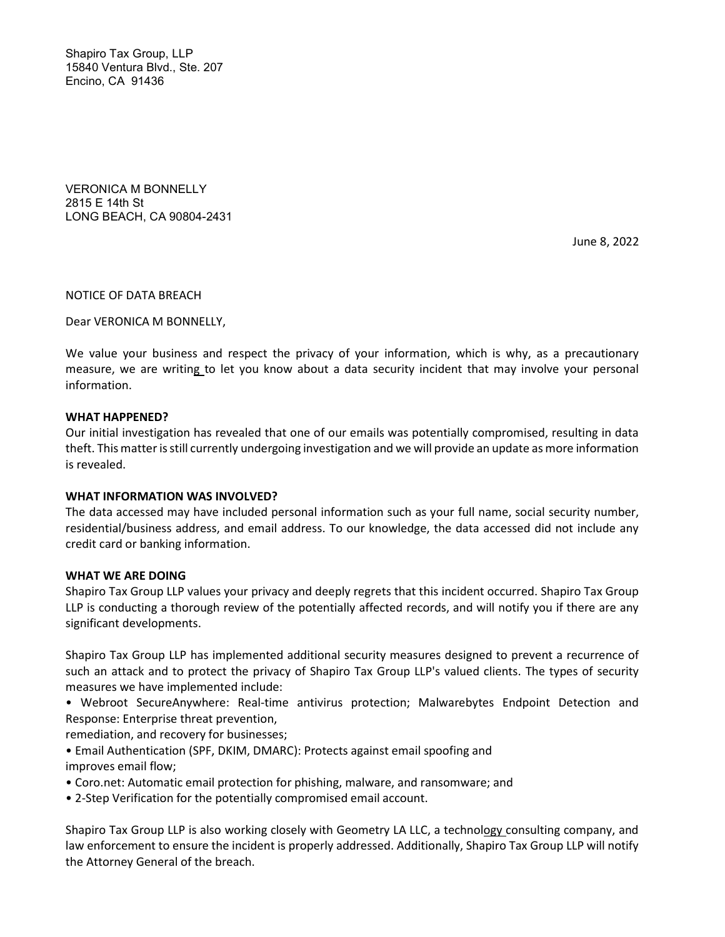Shapiro Tax Group, LLP 15840 Ventura Blvd., Ste. 207 Encino, CA 91436

VERONICA M BONNELLY 2815 E 14th St LONG BEACH, CA 90804-2431

June 8, 2022

NOTICE OF DATA BREACH

Dear VERONICA M BONNELLY,

We value your business and respect the privacy of your information, which is why, as a precautionary measure, we are writing to let you know about a data security incident that may involve your personal information.

#### WHAT HAPPENED?

Our initial investigation has revealed that one of our emails was potentially compromised, resulting in data theft. This matter is still currently undergoing investigation and we will provide an update as more information is revealed.

#### WHAT INFORMATION WAS INVOLVED?

The data accessed may have included personal information such as your full name, social security number, residential/business address, and email address. To our knowledge, the data accessed did not include any credit card or banking information.

#### WHAT WE ARE DOING

Shapiro Tax Group LLP values your privacy and deeply regrets that this incident occurred. Shapiro Tax Group LLP is conducting a thorough review of the potentially affected records, and will notify you if there are any significant developments.

Shapiro Tax Group LLP has implemented additional security measures designed to prevent a recurrence of such an attack and to protect the privacy of Shapiro Tax Group LLP's valued clients. The types of security measures we have implemented include:

• Webroot SecureAnywhere: Real-time antivirus protection; Malwarebytes Endpoint Detection and Response: Enterprise threat prevention,

remediation, and recovery for businesses;

- Email Authentication (SPF, DKIM, DMARC): Protects against email spoofing and improves email flow;
- Coro.net: Automatic email protection for phishing, malware, and ransomware; and
- 2-Step Verification for the potentially compromised email account.

Shapiro Tax Group LLP is also working closely with Geometry LA LLC, a technology consulting company, and law enforcement to ensure the incident is properly addressed. Additionally, Shapiro Tax Group LLP will notify the Attorney General of the breach.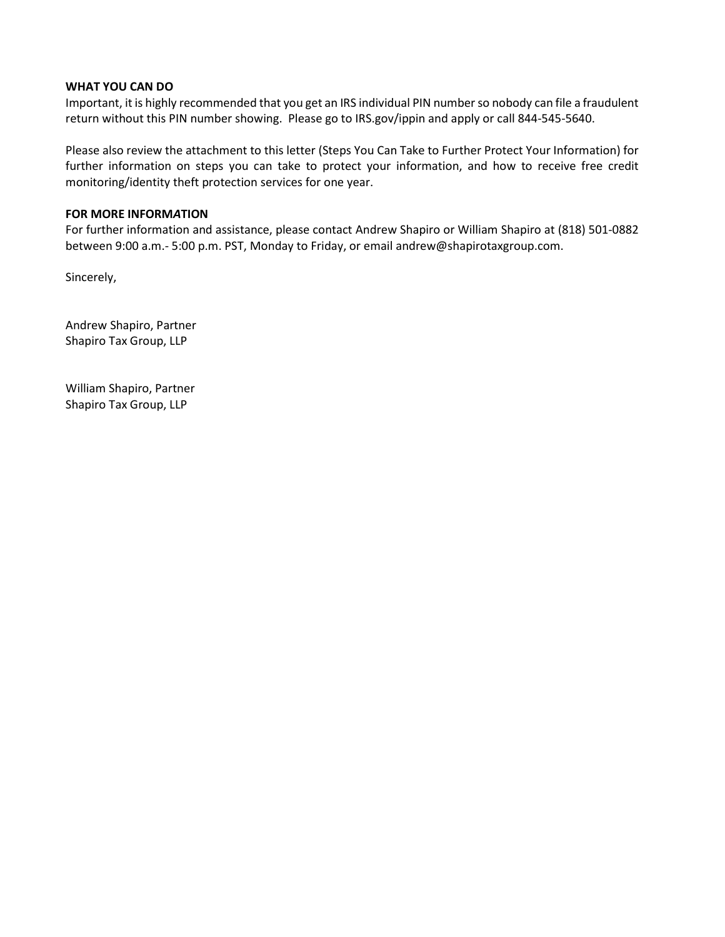### WHAT YOU CAN DO

Important, it is highly recommended that you get an IRS individual PIN number so nobody can file a fraudulent return without this PIN number showing. Please go to IRS.gov/ippin and apply or call 844-545-5640.

Please also review the attachment to this letter (Steps You Can Take to Further Protect Your Information) for further information on steps you can take to protect your information, and how to receive free credit monitoring/identity theft protection services for one year.

## FOR MORE INFORMATION

For further information and assistance, please contact Andrew Shapiro or William Shapiro at (818) 501-0882 between 9:00 a.m.- 5:00 p.m. PST, Monday to Friday, or email andrew@shapirotaxgroup.com.

Sincerely,

Andrew Shapiro, Partner Shapiro Tax Group, LLP

William Shapiro, Partner Shapiro Tax Group, LLP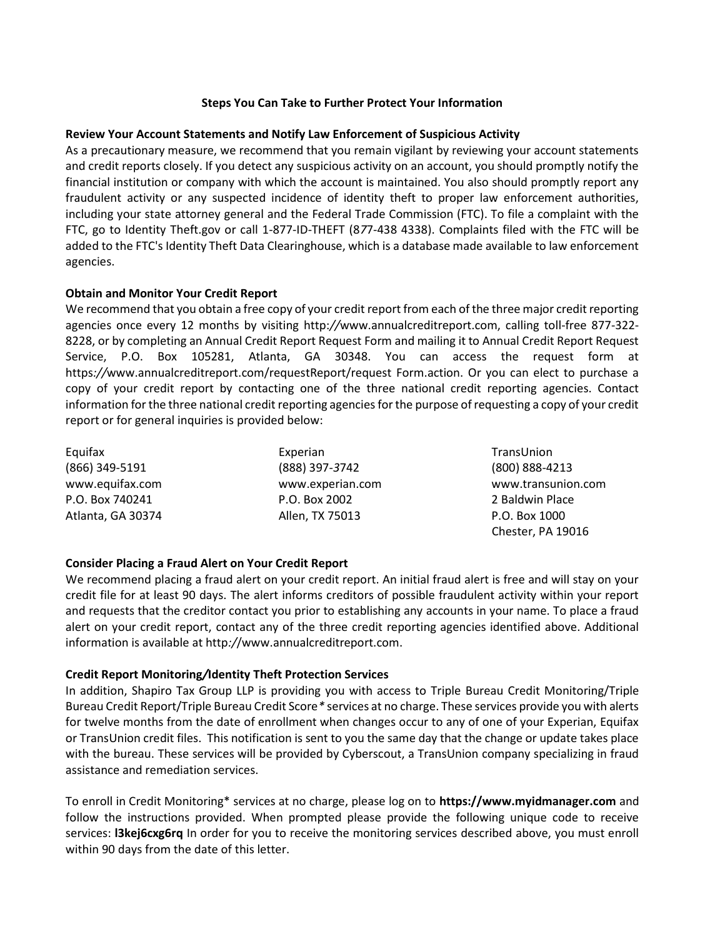#### Steps You Can Take to Further Protect Your Information

## Review Your Account Statements and Notify Law Enforcement of Suspicious Activity

As a precautionary measure, we recommend that you remain vigilant by reviewing your account statements and credit reports closely. If you detect any suspicious activity on an account, you should promptly notify the financial institution or company with which the account is maintained. You also should promptly report any fraudulent activity or any suspected incidence of identity theft to proper law enforcement authorities, including your state attorney general and the Federal Trade Commission (FTC). To file a complaint with the FTC, go to Identity Theft.gov or call 1-877-ID-THEFT (877-438 4338). Complaints filed with the FTC will be added to the FTC's Identity Theft Data Clearinghouse, which is a database made available to law enforcement agencies.

### Obtain and Monitor Your Credit Report

We recommend that you obtain a free copy of your credit report from each of the three major credit reporting agencies once every 12 months by visiting http://www.annualcreditreport.com, calling toll-free 877-322- 8228, or by completing an Annual Credit Report Request Form and mailing it to Annual Credit Report Request Service, P.O. Box 105281, Atlanta, GA 30348. You can access the request form at https://www.annualcreditreport.com/requestReport/request Form.action. Or you can elect to purchase a copy of your credit report by contacting one of the three national credit reporting agencies. Contact information for the three national credit reporting agencies for the purpose of requesting a copy of your credit report or for general inquiries is provided below:

| Equifax           | Experian         | TransUnion       |
|-------------------|------------------|------------------|
| (866) 349-5191    | (888) 397-3742   | $(800) 888 - 42$ |
| www.equifax.com   | www.experian.com | www.transu       |
| P.O. Box 740241   | P.O. Box 2002    | 2 Baldwin Pl     |
| Atlanta, GA 30374 | Allen, TX 75013  | P.O. Box 100     |

(800) 888-4213 www.transunion.com 2 Baldwin Place P.O. Box 1000 Chester, PA 19016

# Consider Placing a Fraud Alert on Your Credit Report

We recommend placing a fraud alert on your credit report. An initial fraud alert is free and will stay on your credit file for at least 90 days. The alert informs creditors of possible fraudulent activity within your report and requests that the creditor contact you prior to establishing any accounts in your name. To place a fraud alert on your credit report, contact any of the three credit reporting agencies identified above. Additional information is available at http://www.annualcreditreport.com.

#### Credit Report Monitoring/Identity Theft Protection Services

In addition, Shapiro Tax Group LLP is providing you with access to Triple Bureau Credit Monitoring/Triple Bureau Credit Report/Triple Bureau Credit Score\* services at no charge. These services provide you with alerts for twelve months from the date of enrollment when changes occur to any of one of your Experian, Equifax or TransUnion credit files. This notification is sent to you the same day that the change or update takes place with the bureau. These services will be provided by Cyberscout, a TransUnion company specializing in fraud assistance and remediation services.

To enroll in Credit Monitoring\* services at no charge, please log on to https://www.myidmanager.com and follow the instructions provided. When prompted please provide the following unique code to receive services: **I3kej6cxg6rq** In order for you to receive the monitoring services described above, you must enroll within 90 days from the date of this letter.